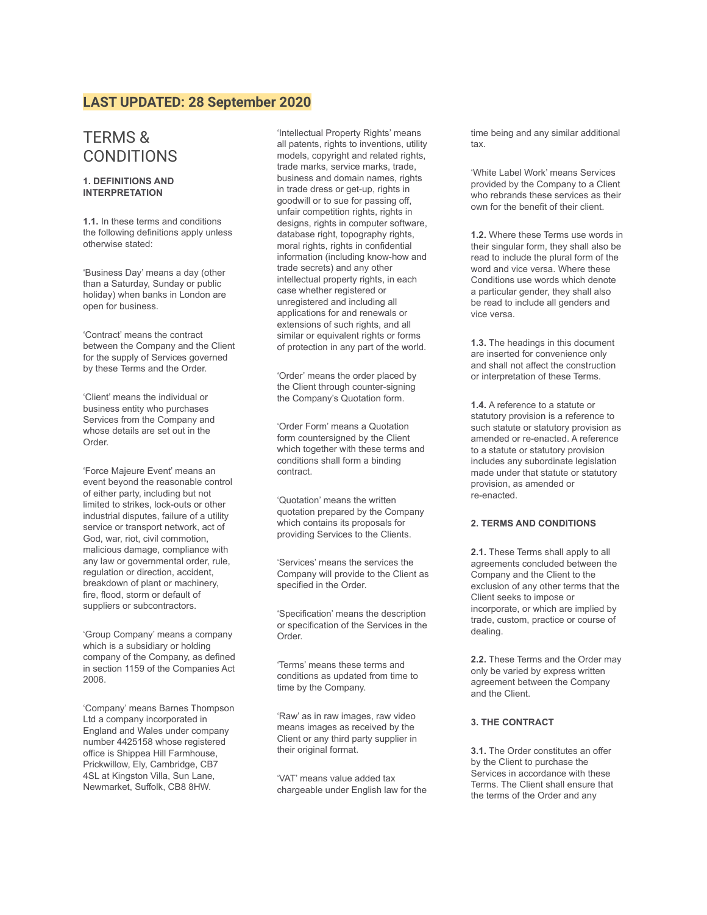## **LAST UPDATED: 28 September 2020**

# TERMS & **CONDITIONS**

## **1. DEFINITIONS AND INTERPRETATION**

**1.1.** In these terms and conditions the following definitions apply unless otherwise stated:

'Business Day' means a day (other than a Saturday, Sunday or public holiday) when banks in London are open for business.

'Contract' means the contract between the Company and the Client for the supply of Services governed by these Terms and the Order.

'Client' means the individual or business entity who purchases Services from the Company and whose details are set out in the Order.

'Force Majeure Event' means an event beyond the reasonable control of either party, including but not limited to strikes, lock-outs or other industrial disputes, failure of a utility service or transport network, act of God, war, riot, civil commotion, malicious damage, compliance with any law or governmental order, rule, regulation or direction, accident, breakdown of plant or machinery, fire, flood, storm or default of suppliers or subcontractors.

'Group Company' means a company which is a subsidiary or holding company of the Company, as defined in section 1159 of the Companies Act 2006.

'Company' means Barnes Thompson Ltd a company incorporated in England and Wales under company number 4425158 whose registered office is Shippea Hill Farmhouse, Prickwillow, Ely, Cambridge, CB7 4SL at Kingston Villa, Sun Lane, Newmarket, Suffolk, CB8 8HW.

'Intellectual Property Rights' means all patents, rights to inventions, utility models, copyright and related rights, trade marks, service marks, trade, business and domain names, rights in trade dress or get-up, rights in goodwill or to sue for passing off, unfair competition rights, rights in designs, rights in computer software, database right, topography rights, moral rights, rights in confidential information (including know-how and trade secrets) and any other intellectual property rights, in each case whether registered or unregistered and including all applications for and renewals or extensions of such rights, and all similar or equivalent rights or forms of protection in any part of the world.

'Order' means the order placed by the Client through counter-signing the Company's Quotation form.

'Order Form' means a Quotation form countersigned by the Client which together with these terms and conditions shall form a binding contract.

'Quotation' means the written quotation prepared by the Company which contains its proposals for providing Services to the Clients.

'Services' means the services the Company will provide to the Client as specified in the Order.

'Specification' means the description or specification of the Services in the Order.

'Terms' means these terms and conditions as updated from time to time by the Company.

'Raw' as in raw images, raw video means images as received by the Client or any third party supplier in their original format.

'VAT' means value added tax chargeable under English law for the time being and any similar additional tax.

'White Label Work' means Services provided by the Company to a Client who rebrands these services as their own for the benefit of their client.

**1.2.** Where these Terms use words in their singular form, they shall also be read to include the plural form of the word and vice versa. Where these Conditions use words which denote a particular gender, they shall also be read to include all genders and vice versa.

**1.3.** The headings in this document are inserted for convenience only and shall not affect the construction or interpretation of these Terms.

**1.4.** A reference to a statute or statutory provision is a reference to such statute or statutory provision as amended or re-enacted. A reference to a statute or statutory provision includes any subordinate legislation made under that statute or statutory provision, as amended or re-enacted.

## **2. TERMS AND CONDITIONS**

**2.1.** These Terms shall apply to all agreements concluded between the Company and the Client to the exclusion of any other terms that the Client seeks to impose or incorporate, or which are implied by trade, custom, practice or course of dealing.

**2.2.** These Terms and the Order may only be varied by express written agreement between the Company and the Client.

## **3. THE CONTRACT**

**3.1.** The Order constitutes an offer by the Client to purchase the Services in accordance with these Terms. The Client shall ensure that the terms of the Order and any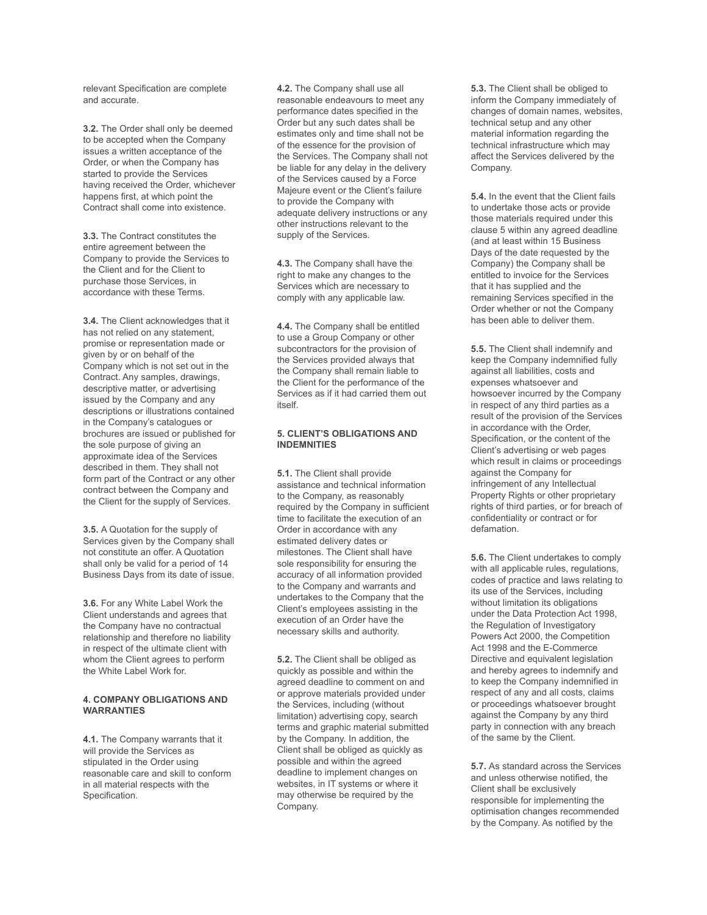relevant Specification are complete and accurate.

**3.2.** The Order shall only be deemed to be accepted when the Company issues a written acceptance of the Order, or when the Company has started to provide the Services having received the Order, whichever happens first, at which point the Contract shall come into existence.

**3.3.** The Contract constitutes the entire agreement between the Company to provide the Services to the Client and for the Client to purchase those Services, in accordance with these Terms.

**3.4.** The Client acknowledges that it has not relied on any statement, promise or representation made or given by or on behalf of the Company which is not set out in the Contract. Any samples, drawings, descriptive matter, or advertising issued by the Company and any descriptions or illustrations contained in the Company's catalogues or brochures are issued or published for the sole purpose of giving an approximate idea of the Services described in them. They shall not form part of the Contract or any other contract between the Company and the Client for the supply of Services.

**3.5.** A Quotation for the supply of Services given by the Company shall not constitute an offer. A Quotation shall only be valid for a period of 14 Business Days from its date of issue.

**3.6.** For any White Label Work the Client understands and agrees that the Company have no contractual relationship and therefore no liability in respect of the ultimate client with whom the Client agrees to perform the White Label Work for.

## **4. COMPANY OBLIGATIONS AND WARRANTIES**

**4.1.** The Company warrants that it will provide the Services as stipulated in the Order using reasonable care and skill to conform in all material respects with the Specification.

**4.2.** The Company shall use all reasonable endeavours to meet any performance dates specified in the Order but any such dates shall be estimates only and time shall not be of the essence for the provision of the Services. The Company shall not be liable for any delay in the delivery of the Services caused by a Force Majeure event or the Client's failure to provide the Company with adequate delivery instructions or any other instructions relevant to the supply of the Services.

**4.3.** The Company shall have the right to make any changes to the Services which are necessary to comply with any applicable law.

**4.4.** The Company shall be entitled to use a Group Company or other subcontractors for the provision of the Services provided always that the Company shall remain liable to the Client for the performance of the Services as if it had carried them out itself.

### **5. CLIENT'S OBLIGATIONS AND INDEMNITIES**

**5.1.** The Client shall provide assistance and technical information to the Company, as reasonably required by the Company in sufficient time to facilitate the execution of an Order in accordance with any estimated delivery dates or milestones. The Client shall have sole responsibility for ensuring the accuracy of all information provided to the Company and warrants and undertakes to the Company that the Client's employees assisting in the execution of an Order have the necessary skills and authority.

**5.2.** The Client shall be obliged as quickly as possible and within the agreed deadline to comment on and or approve materials provided under the Services, including (without limitation) advertising copy, search terms and graphic material submitted by the Company. In addition, the Client shall be obliged as quickly as possible and within the agreed deadline to implement changes on websites, in IT systems or where it may otherwise be required by the Company.

**5.3.** The Client shall be obliged to inform the Company immediately of changes of domain names, websites, technical setup and any other material information regarding the technical infrastructure which may affect the Services delivered by the Company.

**5.4.** In the event that the Client fails to undertake those acts or provide those materials required under this clause 5 within any agreed deadline (and at least within 15 Business Days of the date requested by the Company) the Company shall be entitled to invoice for the Services that it has supplied and the remaining Services specified in the Order whether or not the Company has been able to deliver them.

**5.5.** The Client shall indemnify and keep the Company indemnified fully against all liabilities, costs and expenses whatsoever and howsoever incurred by the Company in respect of any third parties as a result of the provision of the Services in accordance with the Order, Specification, or the content of the Client's advertising or web pages which result in claims or proceedings against the Company for infringement of any Intellectual Property Rights or other proprietary rights of third parties, or for breach of confidentiality or contract or for defamation.

**5.6.** The Client undertakes to comply with all applicable rules, regulations, codes of practice and laws relating to its use of the Services, including without limitation its obligations under the Data Protection Act 1998, the Regulation of Investigatory Powers Act 2000, the Competition Act 1998 and the E-Commerce Directive and equivalent legislation and hereby agrees to indemnify and to keep the Company indemnified in respect of any and all costs, claims or proceedings whatsoever brought against the Company by any third party in connection with any breach of the same by the Client.

**5.7.** As standard across the Services and unless otherwise notified, the Client shall be exclusively responsible for implementing the optimisation changes recommended by the Company. As notified by the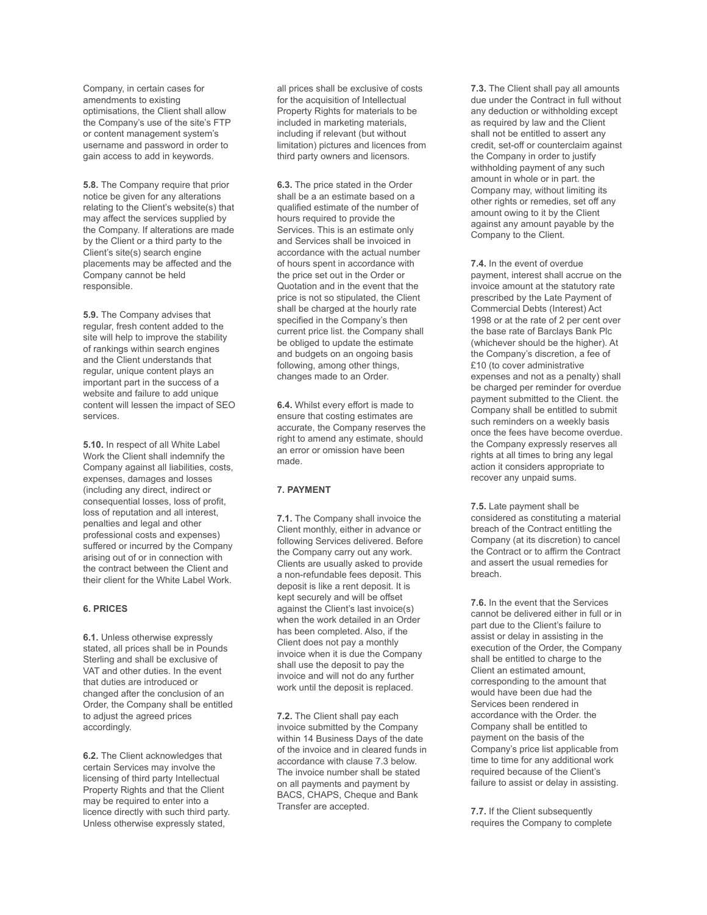Company, in certain cases for amendments to existing optimisations, the Client shall allow the Company's use of the site's FTP or content management system's username and password in order to gain access to add in keywords.

**5.8.** The Company require that prior notice be given for any alterations relating to the Client's website(s) that may affect the services supplied by the Company. If alterations are made by the Client or a third party to the Client's site(s) search engine placements may be affected and the Company cannot be held responsible.

**5.9.** The Company advises that regular, fresh content added to the site will help to improve the stability of rankings within search engines and the Client understands that regular, unique content plays an important part in the success of a website and failure to add unique content will lessen the impact of SEO services.

**5.10.** In respect of all White Label Work the Client shall indemnify the Company against all liabilities, costs, expenses, damages and losses (including any direct, indirect or consequential losses, loss of profit, loss of reputation and all interest, penalties and legal and other professional costs and expenses) suffered or incurred by the Company arising out of or in connection with the contract between the Client and their client for the White Label Work.

## **6. PRICES**

**6.1.** Unless otherwise expressly stated, all prices shall be in Pounds Sterling and shall be exclusive of VAT and other duties. In the event that duties are introduced or changed after the conclusion of an Order, the Company shall be entitled to adjust the agreed prices accordingly.

**6.2.** The Client acknowledges that certain Services may involve the licensing of third party Intellectual Property Rights and that the Client may be required to enter into a licence directly with such third party. Unless otherwise expressly stated,

all prices shall be exclusive of costs for the acquisition of Intellectual Property Rights for materials to be included in marketing materials, including if relevant (but without limitation) pictures and licences from third party owners and licensors.

**6.3.** The price stated in the Order shall be a an estimate based on a qualified estimate of the number of hours required to provide the Services. This is an estimate only and Services shall be invoiced in accordance with the actual number of hours spent in accordance with the price set out in the Order or Quotation and in the event that the price is not so stipulated, the Client shall be charged at the hourly rate specified in the Company's then current price list. the Company shall be obliged to update the estimate and budgets on an ongoing basis following, among other things, changes made to an Order.

**6.4.** Whilst every effort is made to ensure that costing estimates are accurate, the Company reserves the right to amend any estimate, should an error or omission have been made.

## **7. PAYMENT**

**7.1.** The Company shall invoice the Client monthly, either in advance or following Services delivered. Before the Company carry out any work. Clients are usually asked to provide a non-refundable fees deposit. This deposit is like a rent deposit. It is kept securely and will be offset against the Client's last invoice(s) when the work detailed in an Order has been completed. Also, if the Client does not pay a monthly invoice when it is due the Company shall use the deposit to pay the invoice and will not do any further work until the deposit is replaced.

**7.2.** The Client shall pay each invoice submitted by the Company within 14 Business Days of the date of the invoice and in cleared funds in accordance with clause 7.3 below. The invoice number shall be stated on all payments and payment by BACS, CHAPS, Cheque and Bank Transfer are accepted.

**7.3.** The Client shall pay all amounts due under the Contract in full without any deduction or withholding except as required by law and the Client shall not be entitled to assert any credit, set-off or counterclaim against the Company in order to justify withholding payment of any such amount in whole or in part. the Company may, without limiting its other rights or remedies, set off any amount owing to it by the Client against any amount payable by the Company to the Client.

**7.4.** In the event of overdue payment, interest shall accrue on the invoice amount at the statutory rate prescribed by the Late Payment of Commercial Debts (Interest) Act 1998 or at the rate of 2 per cent over the base rate of Barclays Bank Plc (whichever should be the higher). At the Company's discretion, a fee of £10 (to cover administrative expenses and not as a penalty) shall be charged per reminder for overdue payment submitted to the Client. the Company shall be entitled to submit such reminders on a weekly basis once the fees have become overdue. the Company expressly reserves all rights at all times to bring any legal action it considers appropriate to recover any unpaid sums.

**7.5.** Late payment shall be considered as constituting a material breach of the Contract entitling the Company (at its discretion) to cancel the Contract or to affirm the Contract and assert the usual remedies for breach.

**7.6.** In the event that the Services cannot be delivered either in full or in part due to the Client's failure to assist or delay in assisting in the execution of the Order, the Company shall be entitled to charge to the Client an estimated amount, corresponding to the amount that would have been due had the Services been rendered in accordance with the Order. the Company shall be entitled to payment on the basis of the Company's price list applicable from time to time for any additional work required because of the Client's failure to assist or delay in assisting.

**7.7.** If the Client subsequently requires the Company to complete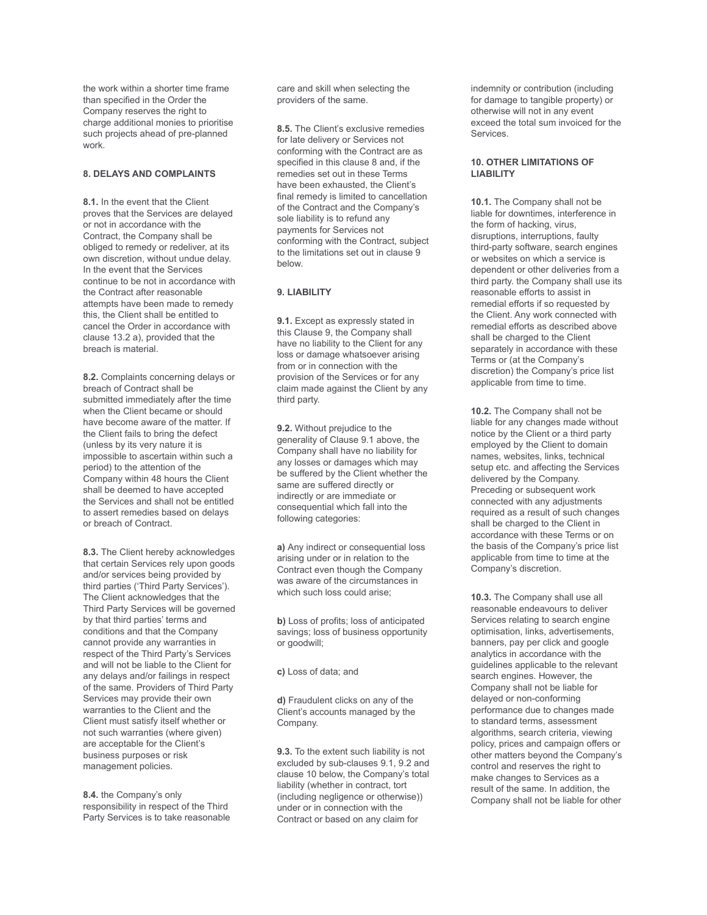the work within a shorter time frame than specified in the Order the Company reserves the right to charge additional monies to prioritise such projects ahead of pre-planned work.

## **8. DELAYS AND COMPLAINTS**

**8.1.** In the event that the Client proves that the Services are delayed or not in accordance with the Contract, the Company shall be obliged to remedy or redeliver, at its own discretion, without undue delay. In the event that the Services continue to be not in accordance with the Contract after reasonable attempts have been made to remedy this, the Client shall be entitled to cancel the Order in accordance with clause 13.2 a), provided that the breach is material.

**8.2.** Complaints concerning delays or breach of Contract shall be submitted immediately after the time when the Client became or should have become aware of the matter. If the Client fails to bring the defect (unless by its very nature it is impossible to ascertain within such a period) to the attention of the Company within 48 hours the Client shall be deemed to have accepted the Services and shall not be entitled to assert remedies based on delays or breach of Contract.

**8.3.** The Client hereby acknowledges that certain Services rely upon goods and/or services being provided by third parties ('Third Party Services'). The Client acknowledges that the Third Party Services will be governed by that third parties' terms and conditions and that the Company cannot provide any warranties in respect of the Third Party's Services and will not be liable to the Client for any delays and/or failings in respect of the same. Providers of Third Party Services may provide their own warranties to the Client and the Client must satisfy itself whether or not such warranties (where given) are acceptable for the Client's business purposes or risk management policies.

**8.4.** the Company's only responsibility in respect of the Third Party Services is to take reasonable care and skill when selecting the providers of the same.

**8.5.** The Client's exclusive remedies for late delivery or Services not conforming with the Contract are as specified in this clause 8 and, if the remedies set out in these Terms have been exhausted, the Client's final remedy is limited to cancellation of the Contract and the Company's sole liability is to refund any payments for Services not conforming with the Contract, subject to the limitations set out in clause 9 below.

## **9. LIABILITY**

**9.1.** Except as expressly stated in this Clause 9, the Company shall have no liability to the Client for any loss or damage whatsoever arising from or in connection with the provision of the Services or for any claim made against the Client by any third party.

**9.2.** Without prejudice to the generality of Clause 9.1 above, the Company shall have no liability for any losses or damages which may be suffered by the Client whether the same are suffered directly or indirectly or are immediate or consequential which fall into the following categories:

**a)** Any indirect or consequential loss arising under or in relation to the Contract even though the Company was aware of the circumstances in which such loss could arise:

**b)** Loss of profits; loss of anticipated savings; loss of business opportunity or goodwill;

**c)** Loss of data; and

**d)** Fraudulent clicks on any of the Client's accounts managed by the Company.

**9.3.** To the extent such liability is not excluded by sub-clauses 9.1, 9.2 and clause 10 below, the Company's total liability (whether in contract, tort (including negligence or otherwise)) under or in connection with the Contract or based on any claim for

indemnity or contribution (including for damage to tangible property) or otherwise will not in any event exceed the total sum invoiced for the Services.

## **10. OTHER LIMITATIONS OF LIABILITY**

**10.1.** The Company shall not be liable for downtimes, interference in the form of hacking, virus, disruptions, interruptions, faulty third-party software, search engines or websites on which a service is dependent or other deliveries from a third party. the Company shall use its reasonable efforts to assist in remedial efforts if so requested by the Client. Any work connected with remedial efforts as described above shall be charged to the Client separately in accordance with these Terms or (at the Company's discretion) the Company's price list applicable from time to time.

**10.2.** The Company shall not be liable for any changes made without notice by the Client or a third party employed by the Client to domain names, websites, links, technical setup etc. and affecting the Services delivered by the Company. Preceding or subsequent work connected with any adjustments required as a result of such changes shall be charged to the Client in accordance with these Terms or on the basis of the Company's price list applicable from time to time at the Company's discretion.

**10.3.** The Company shall use all reasonable endeavours to deliver Services relating to search engine optimisation, links, advertisements, banners, pay per click and google analytics in accordance with the guidelines applicable to the relevant search engines. However, the Company shall not be liable for delayed or non-conforming performance due to changes made to standard terms, assessment algorithms, search criteria, viewing policy, prices and campaign offers or other matters beyond the Company's control and reserves the right to make changes to Services as a result of the same. In addition, the Company shall not be liable for other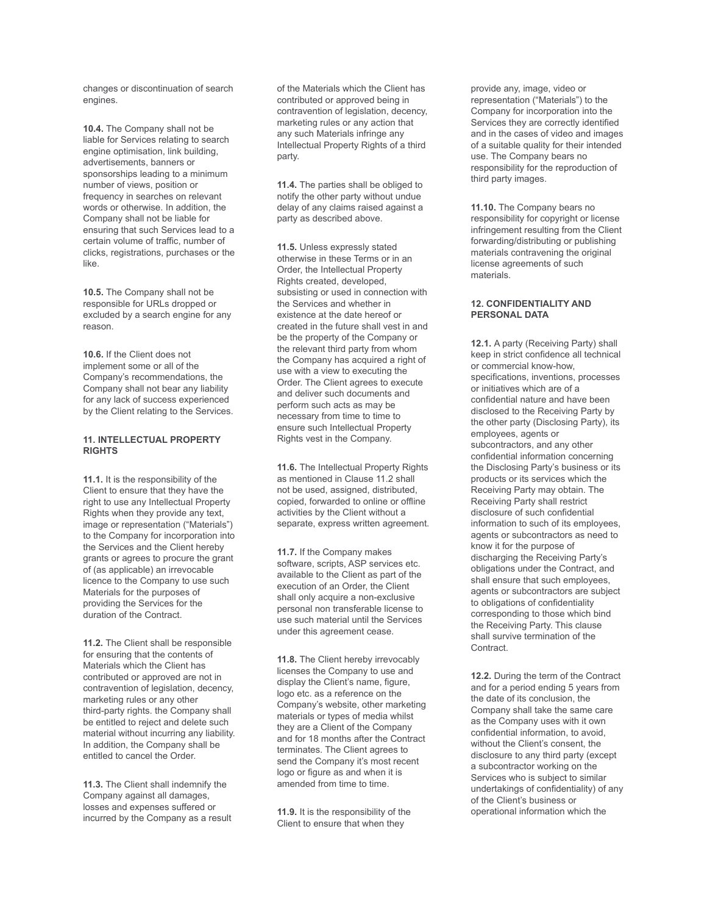changes or discontinuation of search engines.

**10.4.** The Company shall not be liable for Services relating to search engine optimisation, link building, advertisements, banners or sponsorships leading to a minimum number of views, position or frequency in searches on relevant words or otherwise. In addition, the Company shall not be liable for ensuring that such Services lead to a certain volume of traffic, number of clicks, registrations, purchases or the like.

**10.5.** The Company shall not be responsible for URLs dropped or excluded by a search engine for any reason.

**10.6.** If the Client does not implement some or all of the Company's recommendations, the Company shall not bear any liability for any lack of success experienced by the Client relating to the Services.

#### **11. INTELLECTUAL PROPERTY RIGHTS**

**11.1.** It is the responsibility of the Client to ensure that they have the right to use any Intellectual Property Rights when they provide any text, image or representation ("Materials") to the Company for incorporation into the Services and the Client hereby grants or agrees to procure the grant of (as applicable) an irrevocable licence to the Company to use such Materials for the purposes of providing the Services for the duration of the Contract.

**11.2.** The Client shall be responsible for ensuring that the contents of Materials which the Client has contributed or approved are not in contravention of legislation, decency, marketing rules or any other third-party rights. the Company shall be entitled to reject and delete such material without incurring any liability. In addition, the Company shall be entitled to cancel the Order.

**11.3.** The Client shall indemnify the Company against all damages, losses and expenses suffered or incurred by the Company as a result

of the Materials which the Client has contributed or approved being in contravention of legislation, decency, marketing rules or any action that any such Materials infringe any Intellectual Property Rights of a third party.

**11.4.** The parties shall be obliged to notify the other party without undue delay of any claims raised against a party as described above.

**11.5.** Unless expressly stated otherwise in these Terms or in an Order, the Intellectual Property Rights created, developed, subsisting or used in connection with the Services and whether in existence at the date hereof or created in the future shall vest in and be the property of the Company or the relevant third party from whom the Company has acquired a right of use with a view to executing the Order. The Client agrees to execute and deliver such documents and perform such acts as may be necessary from time to time to ensure such Intellectual Property Rights vest in the Company.

**11.6.** The Intellectual Property Rights as mentioned in Clause 11.2 shall not be used, assigned, distributed, copied, forwarded to online or offline activities by the Client without a separate, express written agreement.

**11.7.** If the Company makes software, scripts, ASP services etc. available to the Client as part of the execution of an Order, the Client shall only acquire a non-exclusive personal non transferable license to use such material until the Services under this agreement cease.

**11.8.** The Client hereby irrevocably licenses the Company to use and display the Client's name, figure, logo etc. as a reference on the Company's website, other marketing materials or types of media whilst they are a Client of the Company and for 18 months after the Contract terminates. The Client agrees to send the Company it's most recent logo or figure as and when it is amended from time to time.

**11.9.** It is the responsibility of the Client to ensure that when they

provide any, image, video or representation ("Materials") to the Company for incorporation into the Services they are correctly identified and in the cases of video and images of a suitable quality for their intended use. The Company bears no responsibility for the reproduction of third party images.

**11.10.** The Company bears no responsibility for copyright or license infringement resulting from the Client forwarding/distributing or publishing materials contravening the original license agreements of such materials.

## **12. CONFIDENTIALITY AND PERSONAL DATA**

**12.1.** A party (Receiving Party) shall keep in strict confidence all technical or commercial know-how, specifications, inventions, processes or initiatives which are of a confidential nature and have been disclosed to the Receiving Party by the other party (Disclosing Party), its employees, agents or subcontractors, and any other confidential information concerning the Disclosing Party's business or its products or its services which the Receiving Party may obtain. The Receiving Party shall restrict disclosure of such confidential information to such of its employees, agents or subcontractors as need to know it for the purpose of discharging the Receiving Party's obligations under the Contract, and shall ensure that such employees, agents or subcontractors are subject to obligations of confidentiality corresponding to those which bind the Receiving Party. This clause shall survive termination of the Contract.

**12.2.** During the term of the Contract and for a period ending 5 years from the date of its conclusion, the Company shall take the same care as the Company uses with it own confidential information, to avoid, without the Client's consent, the disclosure to any third party (except a subcontractor working on the Services who is subject to similar undertakings of confidentiality) of any of the Client's business or operational information which the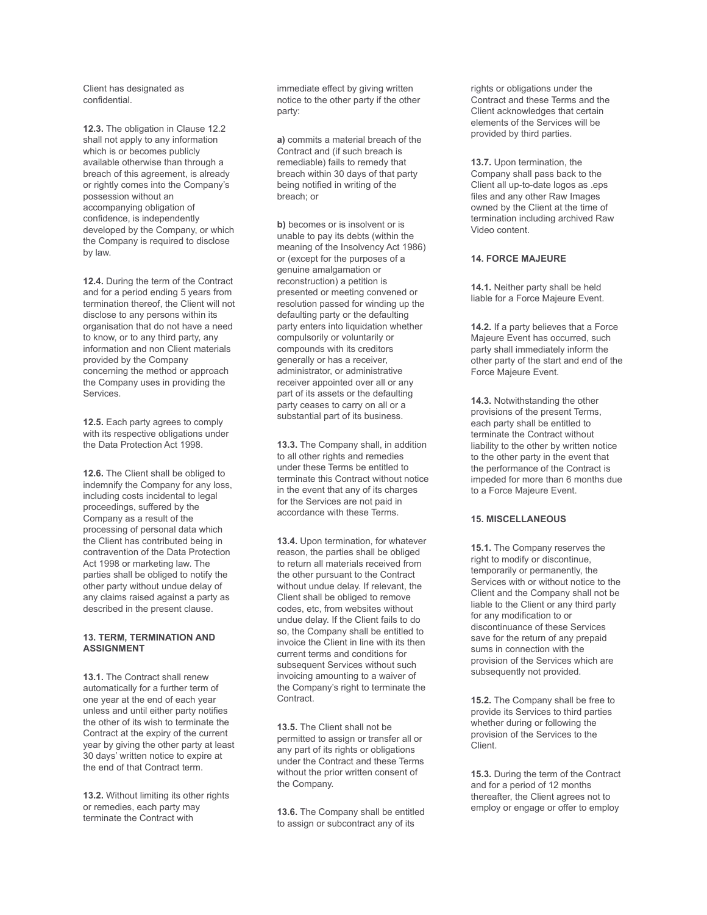Client has designated as confidential.

**12.3.** The obligation in Clause 12.2 shall not apply to any information which is or becomes publicly available otherwise than through a breach of this agreement, is already or rightly comes into the Company's possession without an accompanying obligation of confidence, is independently developed by the Company, or which the Company is required to disclose by law.

**12.4.** During the term of the Contract and for a period ending 5 years from termination thereof, the Client will not disclose to any persons within its organisation that do not have a need to know, or to any third party, any information and non Client materials provided by the Company concerning the method or approach the Company uses in providing the Services.

**12.5.** Each party agrees to comply with its respective obligations under the Data Protection Act 1998.

**12.6.** The Client shall be obliged to indemnify the Company for any loss, including costs incidental to legal proceedings, suffered by the Company as a result of the processing of personal data which the Client has contributed being in contravention of the Data Protection Act 1998 or marketing law. The parties shall be obliged to notify the other party without undue delay of any claims raised against a party as described in the present clause.

## **13. TERM, TERMINATION AND ASSIGNMENT**

**13.1.** The Contract shall renew automatically for a further term of one year at the end of each year unless and until either party notifies the other of its wish to terminate the Contract at the expiry of the current year by giving the other party at least 30 days' written notice to expire at the end of that Contract term.

**13.2.** Without limiting its other rights or remedies, each party may terminate the Contract with

immediate effect by giving written notice to the other party if the other party:

**a)** commits a material breach of the Contract and (if such breach is remediable) fails to remedy that breach within 30 days of that party being notified in writing of the breach; or

**b)** becomes or is insolvent or is unable to pay its debts (within the meaning of the Insolvency Act 1986) or (except for the purposes of a genuine amalgamation or reconstruction) a petition is presented or meeting convened or resolution passed for winding up the defaulting party or the defaulting party enters into liquidation whether compulsorily or voluntarily or compounds with its creditors generally or has a receiver, administrator, or administrative receiver appointed over all or any part of its assets or the defaulting party ceases to carry on all or a substantial part of its business.

**13.3.** The Company shall, in addition to all other rights and remedies under these Terms be entitled to terminate this Contract without notice in the event that any of its charges for the Services are not paid in accordance with these Terms.

**13.4.** Upon termination, for whatever reason, the parties shall be obliged to return all materials received from the other pursuant to the Contract without undue delay. If relevant, the Client shall be obliged to remove codes, etc, from websites without undue delay. If the Client fails to do so, the Company shall be entitled to invoice the Client in line with its then current terms and conditions for subsequent Services without such invoicing amounting to a waiver of the Company's right to terminate the Contract.

**13.5.** The Client shall not be permitted to assign or transfer all or any part of its rights or obligations under the Contract and these Terms without the prior written consent of the Company.

**13.6.** The Company shall be entitled to assign or subcontract any of its

rights or obligations under the Contract and these Terms and the Client acknowledges that certain elements of the Services will be provided by third parties.

**13.7.** Upon termination, the Company shall pass back to the Client all up-to-date logos as .eps files and any other Raw Images owned by the Client at the time of termination including archived Raw Video content.

## **14. FORCE MAJEURE**

**14.1.** Neither party shall be held liable for a Force Majeure Event.

**14.2.** If a party believes that a Force Majeure Event has occurred, such party shall immediately inform the other party of the start and end of the Force Majeure Event.

**14.3.** Notwithstanding the other provisions of the present Terms, each party shall be entitled to terminate the Contract without liability to the other by written notice to the other party in the event that the performance of the Contract is impeded for more than 6 months due to a Force Majeure Event.

## **15. MISCELLANEOUS**

**15.1.** The Company reserves the right to modify or discontinue, temporarily or permanently, the Services with or without notice to the Client and the Company shall not be liable to the Client or any third party for any modification to or discontinuance of these Services save for the return of any prepaid sums in connection with the provision of the Services which are subsequently not provided.

**15.2.** The Company shall be free to provide its Services to third parties whether during or following the provision of the Services to the Client.

**15.3.** During the term of the Contract and for a period of 12 months thereafter, the Client agrees not to employ or engage or offer to employ